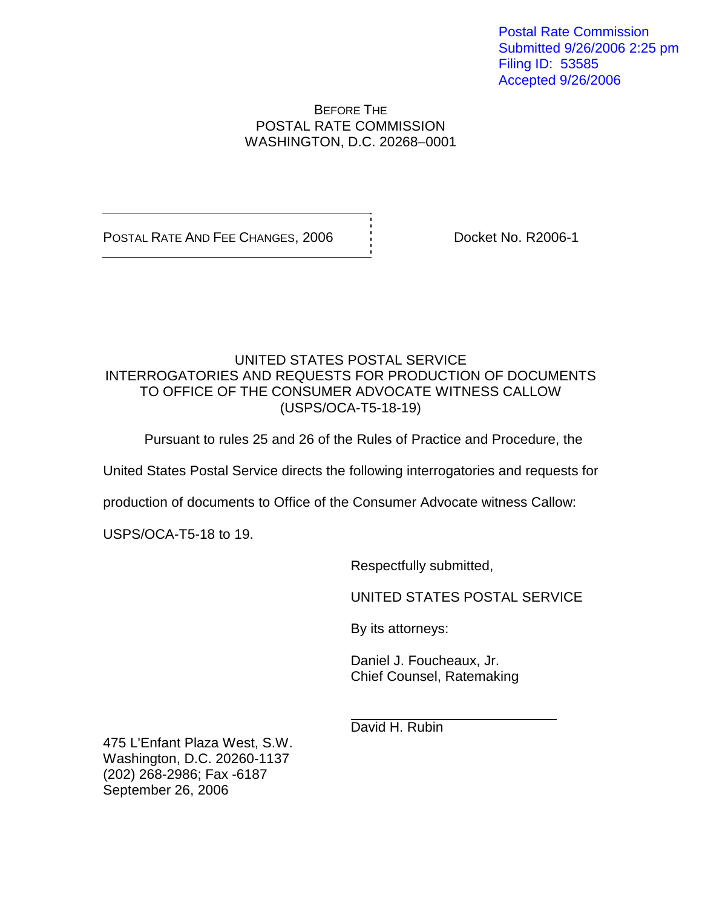Postal Rate Commission Submitted 9/26/2006 2:25 pm Filing ID: 53585 Accepted 9/26/2006

## BEFORE THE POSTAL RATE COMMISSION WASHINGTON, D.C. 20268–0001

POSTAL RATE AND FEE CHANGES, 2006  $\overrightarrow{1}$  Docket No. R2006-1

## UNITED STATES POSTAL SERVICE INTERROGATORIES AND REQUESTS FOR PRODUCTION OF DOCUMENTS TO OFFICE OF THE CONSUMER ADVOCATE WITNESS CALLOW (USPS/OCA-T5-18-19)

Pursuant to rules 25 and 26 of the Rules of Practice and Procedure, the

United States Postal Service directs the following interrogatories and requests for

production of documents to Office of the Consumer Advocate witness Callow:

USPS/OCA-T5-18 to 19.

Respectfully submitted,

UNITED STATES POSTAL SERVICE

By its attorneys:

Daniel J. Foucheaux, Jr. Chief Counsel, Ratemaking

David H. Rubin

475 L'Enfant Plaza West, S.W. Washington, D.C. 20260-1137 (202) 268-2986; Fax -6187 September 26, 2006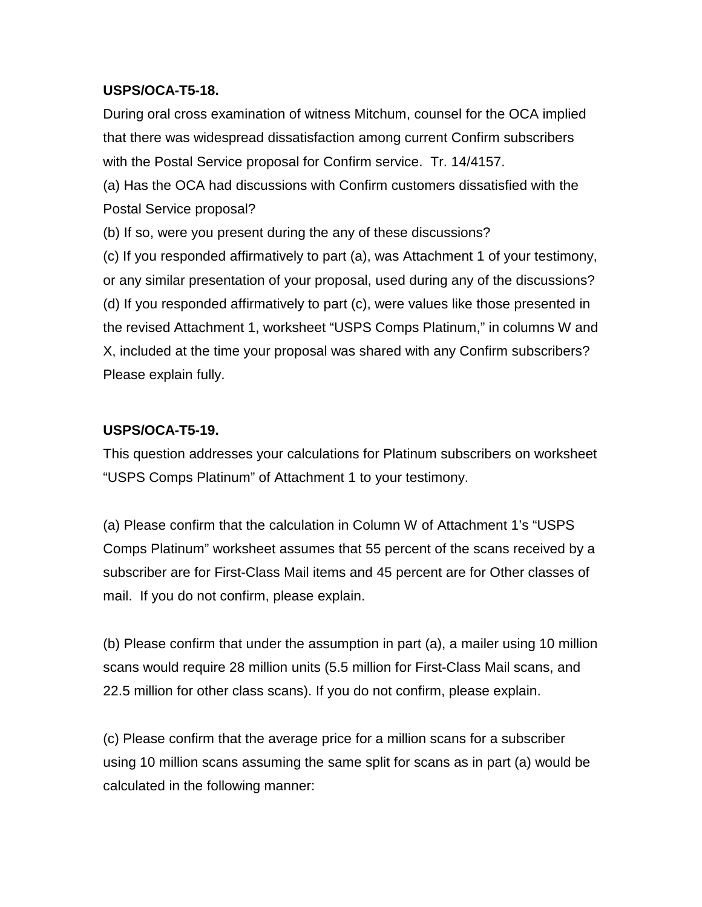## **USPS/OCA-T5-18.**

During oral cross examination of witness Mitchum, counsel for the OCA implied that there was widespread dissatisfaction among current Confirm subscribers with the Postal Service proposal for Confirm service. Tr. 14/4157.

(a) Has the OCA had discussions with Confirm customers dissatisfied with the Postal Service proposal?

(b) If so, were you present during the any of these discussions?

(c) If you responded affirmatively to part (a), was Attachment 1 of your testimony, or any similar presentation of your proposal, used during any of the discussions? (d) If you responded affirmatively to part (c), were values like those presented in the revised Attachment 1, worksheet "USPS Comps Platinum," in columns W and X, included at the time your proposal was shared with any Confirm subscribers? Please explain fully.

## **USPS/OCA-T5-19.**

This question addresses your calculations for Platinum subscribers on worksheet "USPS Comps Platinum" of Attachment 1 to your testimony.

(a) Please confirm that the calculation in Column W of Attachment 1's "USPS Comps Platinum" worksheet assumes that 55 percent of the scans received by a subscriber are for First-Class Mail items and 45 percent are for Other classes of mail. If you do not confirm, please explain.

(b) Please confirm that under the assumption in part (a), a mailer using 10 million scans would require 28 million units (5.5 million for First-Class Mail scans, and 22.5 million for other class scans). If you do not confirm, please explain.

(c) Please confirm that the average price for a million scans for a subscriber using 10 million scans assuming the same split for scans as in part (a) would be calculated in the following manner: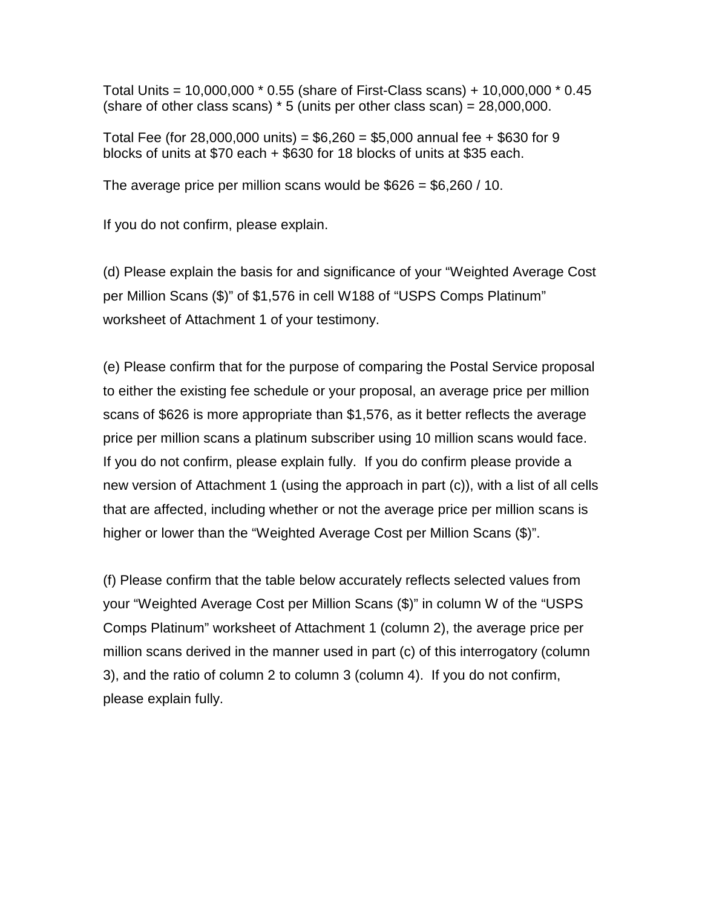Total Units = 10,000,000 \* 0.55 (share of First-Class scans) + 10,000,000 \* 0.45 (share of other class scans)  $*$  5 (units per other class scan) =  $28,000,000$ .

Total Fee (for 28,000,000 units) =  $$6,260 = $5,000$  annual fee + \$630 for 9 blocks of units at \$70 each + \$630 for 18 blocks of units at \$35 each.

The average price per million scans would be  $$626 = $6,260 / 10$ .

If you do not confirm, please explain.

(d) Please explain the basis for and significance of your "Weighted Average Cost per Million Scans (\$)" of \$1,576 in cell W188 of "USPS Comps Platinum" worksheet of Attachment 1 of your testimony.

(e) Please confirm that for the purpose of comparing the Postal Service proposal to either the existing fee schedule or your proposal, an average price per million scans of \$626 is more appropriate than \$1,576, as it better reflects the average price per million scans a platinum subscriber using 10 million scans would face. If you do not confirm, please explain fully. If you do confirm please provide a new version of Attachment 1 (using the approach in part (c)), with a list of all cells that are affected, including whether or not the average price per million scans is higher or lower than the "Weighted Average Cost per Million Scans (\$)".

(f) Please confirm that the table below accurately reflects selected values from your "Weighted Average Cost per Million Scans (\$)" in column W of the "USPS Comps Platinum" worksheet of Attachment 1 (column 2), the average price per million scans derived in the manner used in part (c) of this interrogatory (column 3), and the ratio of column 2 to column 3 (column 4). If you do not confirm, please explain fully.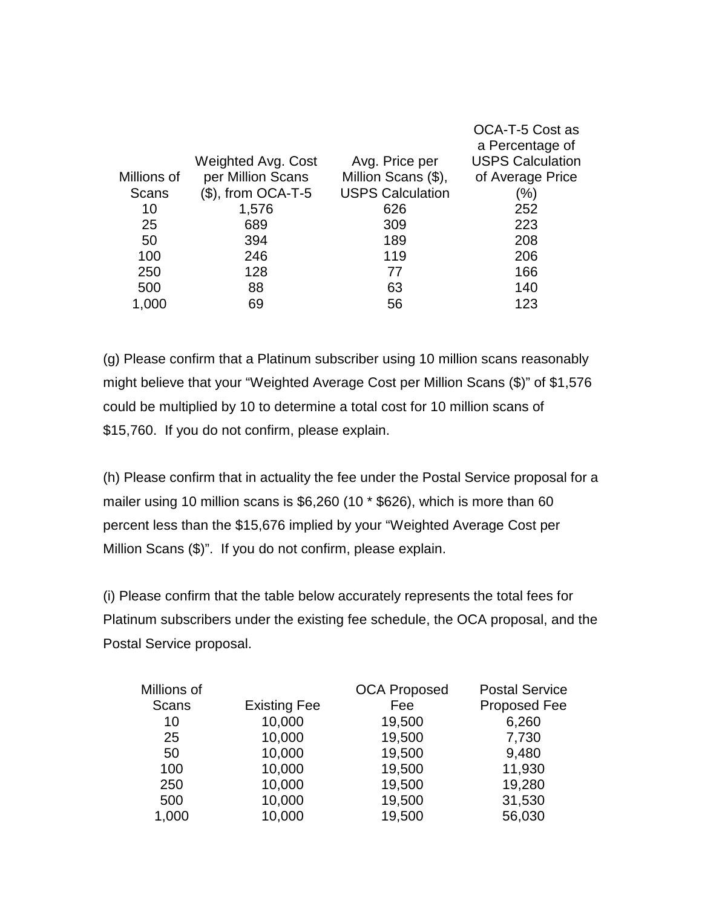|             |                      |                         | OCA-T-5 Cost as         |
|-------------|----------------------|-------------------------|-------------------------|
|             |                      |                         | a Percentage of         |
|             | Weighted Avg. Cost   | Avg. Price per          | <b>USPS Calculation</b> |
| Millions of | per Million Scans    | Million Scans (\$),     | of Average Price        |
| Scans       | $($)$ , from OCA-T-5 | <b>USPS Calculation</b> | (%)                     |
| 10          | 1,576                | 626                     | 252                     |
| 25          | 689                  | 309                     | 223                     |
| 50          | 394                  | 189                     | 208                     |
| 100         | 246                  | 119                     | 206                     |
| 250         | 128                  | 77                      | 166                     |
| 500         | 88                   | 63                      | 140                     |
| 1,000       | 69                   | 56                      | 123                     |

(g) Please confirm that a Platinum subscriber using 10 million scans reasonably might believe that your "Weighted Average Cost per Million Scans (\$)" of \$1,576 could be multiplied by 10 to determine a total cost for 10 million scans of \$15,760. If you do not confirm, please explain.

(h) Please confirm that in actuality the fee under the Postal Service proposal for a mailer using 10 million scans is \$6,260 (10 \* \$626), which is more than 60 percent less than the \$15,676 implied by your "Weighted Average Cost per Million Scans (\$)". If you do not confirm, please explain.

(i) Please confirm that the table below accurately represents the total fees for Platinum subscribers under the existing fee schedule, the OCA proposal, and the Postal Service proposal.

|                     | <b>OCA Proposed</b> | <b>Postal Service</b> |
|---------------------|---------------------|-----------------------|
| <b>Existing Fee</b> | Fee                 | Proposed Fee          |
| 10,000              | 19,500              | 6,260                 |
| 10,000              | 19,500              | 7,730                 |
| 10,000              | 19,500              | 9,480                 |
| 10,000              | 19,500              | 11,930                |
| 10,000              | 19,500              | 19,280                |
| 10,000              | 19,500              | 31,530                |
| 10,000              | 19,500              | 56,030                |
|                     |                     |                       |